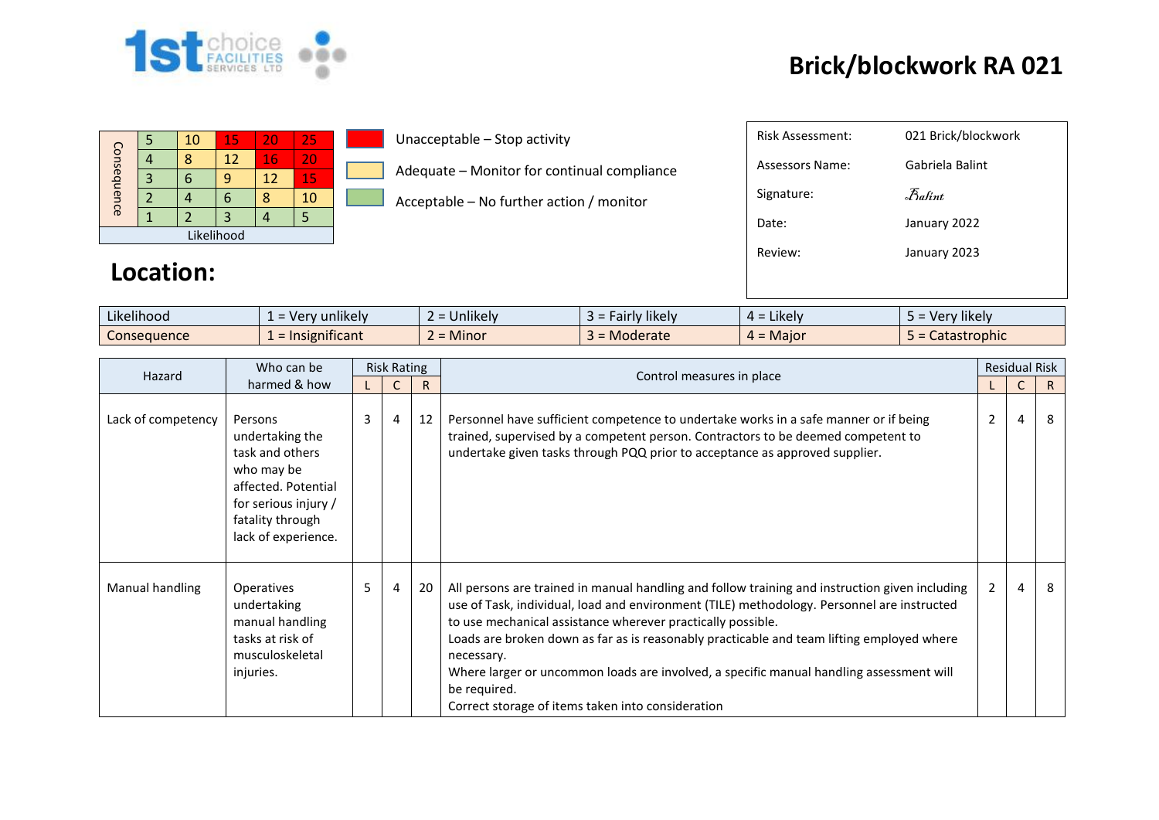

## **Brick/blockwork RA 021**

| Consequence |  | 10 | 15 | 20 | 25 |  |  |  |  |
|-------------|--|----|----|----|----|--|--|--|--|
|             |  |    | 12 | 16 | 20 |  |  |  |  |
|             |  |    | q  | 12 | 15 |  |  |  |  |
|             |  |    | 6  |    | 10 |  |  |  |  |
|             |  |    |    |    |    |  |  |  |  |
| Likelihood  |  |    |    |    |    |  |  |  |  |

**Location:** 

Unacceptable – Stop activity

Adequate – Monitor for continual compliance

Acceptable – No further action / monitor

| Risk Assessment: | 021 Brick/blockwork                 |
|------------------|-------------------------------------|
| Assessors Name:  | Gabriela Balint                     |
| Signature:       | $\mathcal{F}_{\alpha\mathit{hint}}$ |
| Date:            | January 2022                        |
| Review:          | January 2023                        |
|                  |                                     |

| $\cdots$    | $\cdots$<br>$\overline{\phantom{0}}$ |               |                 | $\cdots$                                        | $\cdots$     |
|-------------|--------------------------------------|---------------|-----------------|-------------------------------------------------|--------------|
| Likelihood  | unlikelv<br>۱۵<br>ີ                  | Unlikely<br>- | likely<br>airly | Likely<br>$\Delta$ =                            | Very likely  |
| Consequence | Insignificant<br><u>—</u>            | Minor         | Moderate        | Major<br>$\overline{\phantom{0}}$<br><u>д</u> = | Catastrophic |

| Hazard             | Who can be                                                                                                                                            | <b>Risk Rating</b> |   |    | Control measures in place                                                                                                                                                                                                                                                                                                                                                                                                                                                                                                              | <b>Residual Risk</b> |   |    |  |
|--------------------|-------------------------------------------------------------------------------------------------------------------------------------------------------|--------------------|---|----|----------------------------------------------------------------------------------------------------------------------------------------------------------------------------------------------------------------------------------------------------------------------------------------------------------------------------------------------------------------------------------------------------------------------------------------------------------------------------------------------------------------------------------------|----------------------|---|----|--|
| harmed & how       |                                                                                                                                                       |                    |   | R  |                                                                                                                                                                                                                                                                                                                                                                                                                                                                                                                                        |                      | C | R. |  |
| Lack of competency | Persons<br>undertaking the<br>task and others<br>who may be<br>affected. Potential<br>for serious injury /<br>fatality through<br>lack of experience. | 3                  | 4 | 12 | Personnel have sufficient competence to undertake works in a safe manner or if being<br>trained, supervised by a competent person. Contractors to be deemed competent to<br>undertake given tasks through PQQ prior to acceptance as approved supplier.                                                                                                                                                                                                                                                                                | 2                    | 4 | 8  |  |
| Manual handling    | Operatives<br>undertaking<br>manual handling<br>tasks at risk of<br>musculoskeletal<br>injuries.                                                      | 5                  | 4 | 20 | All persons are trained in manual handling and follow training and instruction given including<br>use of Task, individual, load and environment (TILE) methodology. Personnel are instructed<br>to use mechanical assistance wherever practically possible.<br>Loads are broken down as far as is reasonably practicable and team lifting employed where<br>necessary.<br>Where larger or uncommon loads are involved, a specific manual handling assessment will<br>be required.<br>Correct storage of items taken into consideration | $\overline{2}$       | 4 | 8  |  |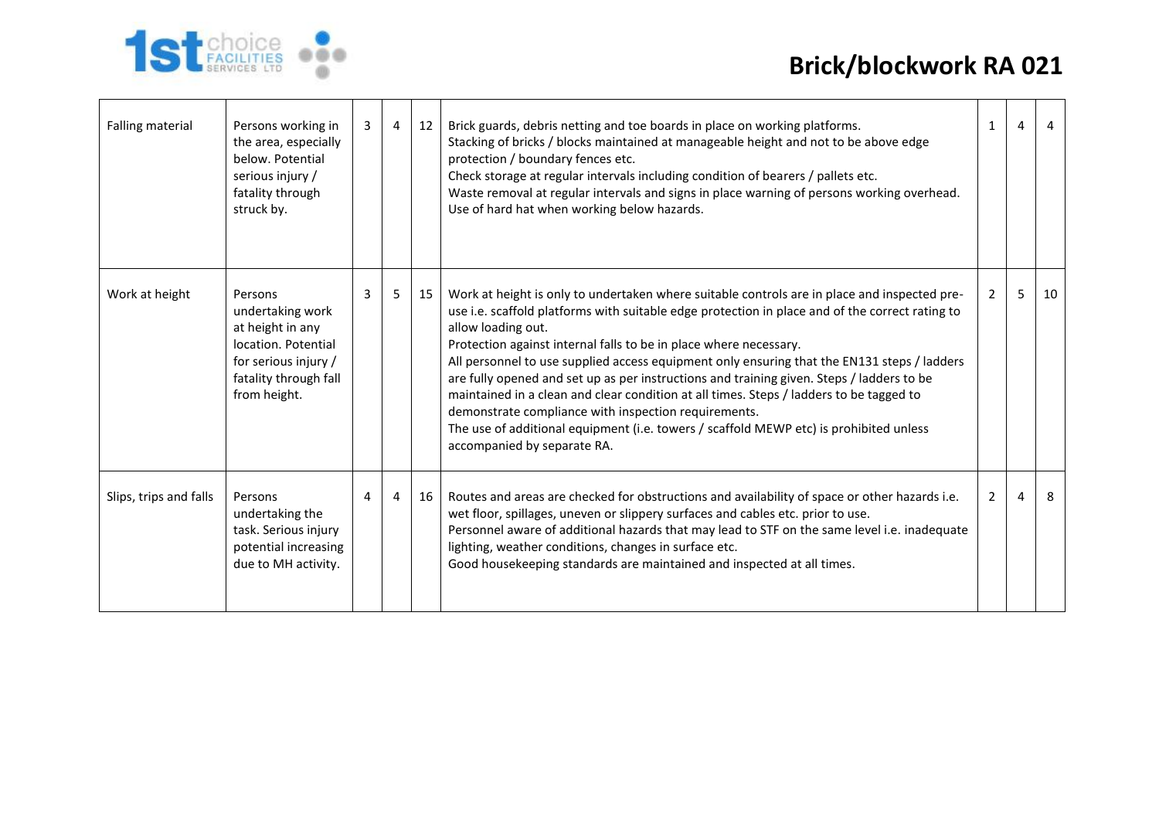## **Brick/blockwork RA 021**



| Falling material       | Persons working in<br>the area, especially<br>below. Potential<br>serious injury /<br>fatality through<br>struck by.                    | 3 | $\overline{4}$ | 12 | Brick guards, debris netting and toe boards in place on working platforms.<br>Stacking of bricks / blocks maintained at manageable height and not to be above edge<br>protection / boundary fences etc.<br>Check storage at regular intervals including condition of bearers / pallets etc.<br>Waste removal at regular intervals and signs in place warning of persons working overhead.<br>Use of hard hat when working below hazards.                                                                                                                                                                                                                                                                                                                           | $\mathbf{1}$   | $\overline{4}$ | $\overline{4}$ |
|------------------------|-----------------------------------------------------------------------------------------------------------------------------------------|---|----------------|----|--------------------------------------------------------------------------------------------------------------------------------------------------------------------------------------------------------------------------------------------------------------------------------------------------------------------------------------------------------------------------------------------------------------------------------------------------------------------------------------------------------------------------------------------------------------------------------------------------------------------------------------------------------------------------------------------------------------------------------------------------------------------|----------------|----------------|----------------|
| Work at height         | Persons<br>undertaking work<br>at height in any<br>location. Potential<br>for serious injury /<br>fatality through fall<br>from height. | 3 | 5              | 15 | Work at height is only to undertaken where suitable controls are in place and inspected pre-<br>use i.e. scaffold platforms with suitable edge protection in place and of the correct rating to<br>allow loading out.<br>Protection against internal falls to be in place where necessary.<br>All personnel to use supplied access equipment only ensuring that the EN131 steps / ladders<br>are fully opened and set up as per instructions and training given. Steps / ladders to be<br>maintained in a clean and clear condition at all times. Steps / ladders to be tagged to<br>demonstrate compliance with inspection requirements.<br>The use of additional equipment (i.e. towers / scaffold MEWP etc) is prohibited unless<br>accompanied by separate RA. | $\overline{2}$ | 5              | 10             |
| Slips, trips and falls | Persons<br>undertaking the<br>task. Serious injury<br>potential increasing<br>due to MH activity.                                       | 4 | 4              | 16 | Routes and areas are checked for obstructions and availability of space or other hazards i.e.<br>wet floor, spillages, uneven or slippery surfaces and cables etc. prior to use.<br>Personnel aware of additional hazards that may lead to STF on the same level i.e. inadequate<br>lighting, weather conditions, changes in surface etc.<br>Good housekeeping standards are maintained and inspected at all times.                                                                                                                                                                                                                                                                                                                                                | $2^{\circ}$    | $\overline{a}$ | 8              |